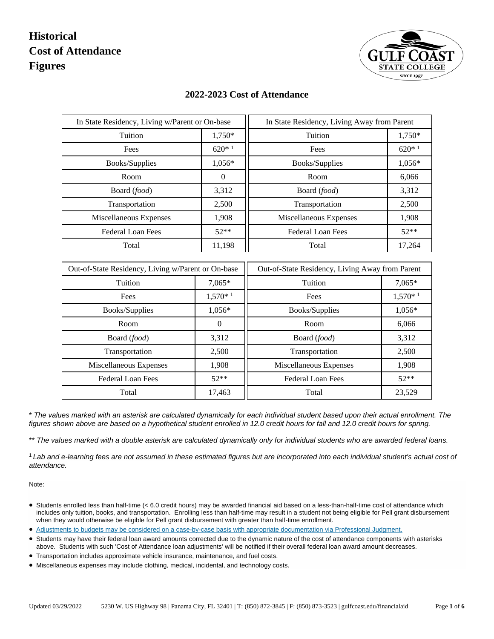

| In State Residency, Living w/Parent or On-base     |                | In State Residency, Living Away from Parent     |           |
|----------------------------------------------------|----------------|-------------------------------------------------|-----------|
| Tuition                                            | 1,750*         | Tuition                                         | 1,750*    |
| Fees                                               | $620*1$        | Fees                                            | $620*1$   |
| Books/Supplies                                     | 1,056*         | Books/Supplies                                  | 1,056*    |
| Room                                               | $\overline{0}$ | Room                                            | 6,066     |
| Board (food)                                       | 3,312          | Board (food)                                    | 3,312     |
| Transportation                                     | 2,500          | Transportation                                  | 2,500     |
| Miscellaneous Expenses                             | 1,908          | Miscellaneous Expenses                          | 1,908     |
| Federal Loan Fees                                  | $52**$         | Federal Loan Fees                               | $52**$    |
| Total                                              | 11,198         | Total                                           | 17,264    |
|                                                    |                |                                                 |           |
| Out-of-State Residency, Living w/Parent or On-base |                | Out-of-State Residency, Living Away from Parent |           |
| Tuition                                            | 7,065*         | Tuition                                         | 7,065*    |
| Fees                                               | $1,570*1$      | Fees                                            | $1,570*1$ |
| Books/Supplies                                     | 1,056*         | Books/Supplies                                  | 1,056*    |
| Room                                               | $\overline{0}$ | Room                                            | 6,066     |
| Board (food)                                       | 3,312          | Board (food)                                    | 3,312     |
| Transportation                                     | 2,500          | Transportation                                  | 2,500     |
| Miscellaneous Expenses                             | 1,908          | Miscellaneous Expenses                          | 1,908     |
| <b>Federal Loan Fees</b>                           | $52**$         | <b>Federal Loan Fees</b>                        | $52**$    |
| Total                                              | 17,463         | Total                                           | 23,529    |

#### **2022-2023 Cost of Attendance**

\* *The values marked with an asterisk are calculated dynamically for each individual student based upon their actual enrollment. The figures shown above are based on a hypothetical student enrolled in 12.0 credit hours for fall and 12.0 credit hours for spring.*

\*\* *The values marked with a double asterisk are calculated dynamically only for individual students who are awarded federal loans.*

<sup>1</sup>*Lab and e-learning fees are not assumed in these estimated figures but are incorporated into each individual student's actual cost of attendance.*

- Students enrolled less than half-time (< 6.0 credit hours) may be awarded financial aid based on a less-than-half-time cost of attendance which includes only tuition, books, and transportation. Enrolling less than half-time may result in a student not being eligible for Pell grant disbursement when they would otherwise be eligible for Pell grant disbursement with greater than half-time enrollment.
- Adjustments to budgets may be considered [on a case-by-case basis with appropriate documentation via Professional Judgment.](https://dynamicforms.ngwebsolutions.com/casAuthentication.ashx?InstID=ea1a3db4-b0a6-4af8-9c22-c522ab696f18&targetURL=https://dynamicforms.ngwebsolutions.com/ShowForm.aspx?RequestedDynamicFormTemplate=7cd52e45-5bab-4c2a-8192-0ca13110f272)
- Students may have their federal loan award amounts corrected due to the dynamic nature of the cost of attendance components with asterisks above. Students with such 'Cost of Attendance loan adjustments' will be notified if their overall federal loan award amount decreases.
- Transportation includes approximate vehicle insurance, maintenance, and fuel costs.
- Miscellaneous expenses may include clothing, medical, incidental, and technology costs.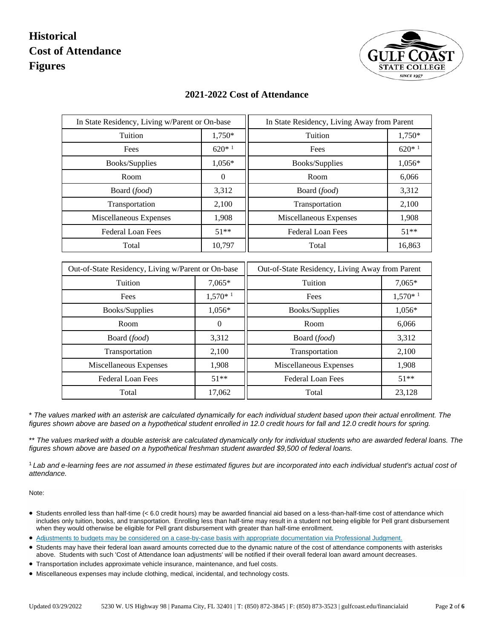

| In State Residency, Living w/Parent or On-base     |                  | In State Residency, Living Away from Parent     |           |  |
|----------------------------------------------------|------------------|-------------------------------------------------|-----------|--|
| Tuition                                            | 1,750*           | Tuition                                         | 1,750*    |  |
| Fees                                               | $620*1$          | Fees                                            | $620*1$   |  |
| Books/Supplies                                     | 1,056*           | Books/Supplies                                  | 1,056*    |  |
| Room                                               | $\boldsymbol{0}$ | Room                                            | 6,066     |  |
| Board (food)                                       | 3,312            | Board (food)                                    | 3,312     |  |
| Transportation                                     | 2,100            | Transportation                                  | 2,100     |  |
| Miscellaneous Expenses                             | 1,908            | Miscellaneous Expenses                          | 1,908     |  |
| Federal Loan Fees                                  | $51**$           | Federal Loan Fees                               | $51***$   |  |
| Total                                              | 10,797           | Total                                           | 16,863    |  |
|                                                    |                  |                                                 |           |  |
| Out-of-State Residency, Living w/Parent or On-base |                  | Out-of-State Residency, Living Away from Parent |           |  |
| Tuition                                            | 7,065*           | Tuition                                         | 7,065*    |  |
| Fees                                               | $1,570*1$        | Fees                                            | $1,570*1$ |  |
| Books/Supplies                                     | 1,056*           | Books/Supplies                                  | 1,056*    |  |
| Room                                               | $\Omega$         | Room                                            | 6,066     |  |
| Board (food)                                       | 3,312            | Board (food)                                    | 3,312     |  |
|                                                    |                  |                                                 |           |  |
| Transportation                                     | 2,100            | Transportation                                  | 2,100     |  |
| Miscellaneous Expenses                             | 1,908            | Miscellaneous Expenses                          | 1,908     |  |
| <b>Federal Loan Fees</b>                           | $51**$           | <b>Federal Loan Fees</b>                        | $51**$    |  |

#### **2021-2022 Cost of Attendance**

\* *The values marked with an asterisk are calculated dynamically for each individual student based upon their actual enrollment. The figures shown above are based on a hypothetical student enrolled in 12.0 credit hours for fall and 12.0 credit hours for spring.*

\*\* The values marked with a double asterisk are calculated dynamically only for individual students who are awarded federal loans. The *figures shown above are based on a hypothetical freshman student awarded \$9,500 of federal loans.*

<sup>1</sup>*Lab and e-learning fees are not assumed in these estimated figures but are incorporated into each individual student's actual cost of attendance.*

- Students enrolled less than half-time (< 6.0 credit hours) may be awarded financial aid based on a less-than-half-time cost of attendance which includes only tuition, books, and transportation. Enrolling less than half-time may result in a student not being eligible for Pell grant disbursement when they would otherwise be eligible for Pell grant disbursement with greater than half-time enrollment.
- [Adjustments to budgets may be considered on a case-by-case basis with appropriate documentation via Professional Judgment.](https://dynamicforms.ngwebsolutions.com/casAuthentication.ashx?InstID=ea1a3db4-b0a6-4af8-9c22-c522ab696f18&targetURL=https://dynamicforms.ngwebsolutions.com/ShowForm.aspx?RequestedDynamicFormTemplate=7cd52e45-5bab-4c2a-8192-0ca13110f272)
- Students may have their federal loan award amounts corrected due to the dynamic nature of the cost of attendance components with asterisks above. Students with such 'Cost of Attendance loan adjustments' will be notified if their overall federal loan award amount decreases.
- Transportation includes approximate vehicle insurance, maintenance, and fuel costs.
- Miscellaneous expenses may include clothing, medical, incidental, and technology costs.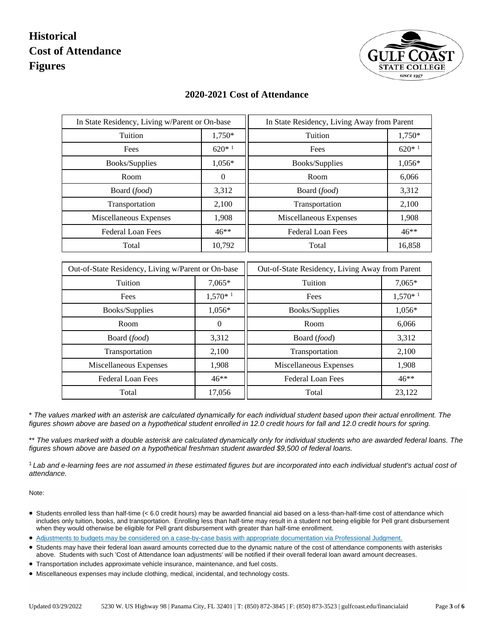

| In State Residency, Living w/Parent or On-base     |                | In State Residency, Living Away from Parent     |           |
|----------------------------------------------------|----------------|-------------------------------------------------|-----------|
| Tuition                                            | 1,750*         | Tuition                                         | 1,750*    |
| Fees                                               | $620*1$        | Fees                                            | $620*1$   |
| Books/Supplies                                     | 1,056*         | Books/Supplies                                  | 1,056*    |
| Room                                               | $\overline{0}$ | Room                                            | 6,066     |
| Board (food)                                       | 3,312          | Board (food)                                    | 3,312     |
| Transportation                                     | 2,100          | Transportation                                  | 2,100     |
| Miscellaneous Expenses                             | 1,908          | Miscellaneous Expenses                          | 1,908     |
| Federal Loan Fees                                  | $46**$         | <b>Federal Loan Fees</b>                        | 46**      |
| Total                                              | 10,792         | Total                                           | 16,858    |
|                                                    |                |                                                 |           |
| Out-of-State Residency, Living w/Parent or On-base |                | Out-of-State Residency, Living Away from Parent |           |
| Tuition                                            | 7,065*         | Tuition                                         | 7,065*    |
| Fees                                               | $1,570*1$      | Fees                                            | $1,570*1$ |
| Books/Supplies                                     | 1,056*         | Books/Supplies                                  | 1,056*    |
| Room                                               | $\overline{0}$ | Room                                            | 6,066     |
| Board (food)                                       | 3,312          | Board (food)                                    | 3,312     |
| Transportation                                     | 2,100          | Transportation                                  | 2,100     |
| Miscellaneous Expenses                             | 1,908          | Miscellaneous Expenses                          | 1,908     |
| Federal Loan Fees                                  | $46**$         | Federal Loan Fees                               | $46***$   |
| Total                                              | 17,056         | Total                                           | 23,122    |

#### **2020-2021 Cost of Attendance**

\* *The values marked with an asterisk are calculated dynamically for each individual student based upon their actual enrollment. The figures shown above are based on a hypothetical student enrolled in 12.0 credit hours for fall and 12.0 credit hours for spring.*

\*\* The values marked with a double asterisk are calculated dynamically only for individual students who are awarded federal loans. The *figures shown above are based on a hypothetical freshman student awarded \$9,500 of federal loans.*

<sup>1</sup>*Lab and e-learning fees are not assumed in these estimated figures but are incorporated into each individual student's actual cost of attendance.*

- Students enrolled less than half-time (< 6.0 credit hours) may be awarded financial aid based on a less-than-half-time cost of attendance which includes only tuition, books, and transportation. Enrolling less than half-time may result in a student not being eligible for Pell grant disbursement when they would otherwise be eligible for Pell grant disbursement with greater than half-time enrollment.
- [Adjustments to budgets may be considered on a case-by-case basis with appropriate documentation via Professional Judgment.](https://dynamicforms.ngwebsolutions.com/casAuthentication.ashx?InstID=ea1a3db4-b0a6-4af8-9c22-c522ab696f18&targetURL=https://dynamicforms.ngwebsolutions.com/ShowForm.aspx?RequestedDynamicFormTemplate=7cd52e45-5bab-4c2a-8192-0ca13110f272)
- Students may have their federal loan award amounts corrected due to the dynamic nature of the cost of attendance components with asterisks above. Students with such 'Cost of Attendance loan adjustments' will be notified if their overall federal loan award amount decreases.
- Transportation includes approximate vehicle insurance, maintenance, and fuel costs.
- Miscellaneous expenses may include clothing, medical, incidental, and technology costs.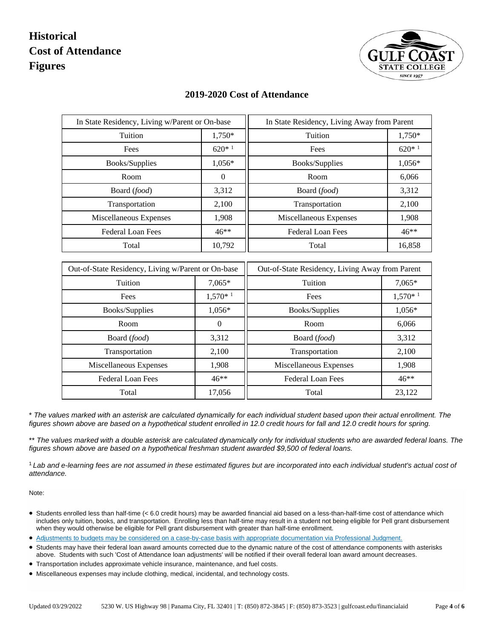

| In State Residency, Living w/Parent or On-base     |                  | In State Residency, Living Away from Parent     |           |
|----------------------------------------------------|------------------|-------------------------------------------------|-----------|
| Tuition                                            | 1,750*           | Tuition                                         | 1,750*    |
| Fees                                               | $620*1$          | Fees                                            | $620*1$   |
| Books/Supplies                                     | 1,056*           | Books/Supplies                                  | 1,056*    |
| Room                                               | $\boldsymbol{0}$ | Room                                            | 6,066     |
| Board (food)                                       | 3,312            | Board (food)                                    | 3,312     |
| Transportation                                     | 2,100            | Transportation                                  | 2,100     |
| Miscellaneous Expenses                             | 1,908            | Miscellaneous Expenses                          | 1,908     |
| Federal Loan Fees                                  | $46**$           | <b>Federal Loan Fees</b>                        | $46**$    |
| Total                                              | 10,792           | Total                                           | 16,858    |
|                                                    |                  |                                                 |           |
| Out-of-State Residency, Living w/Parent or On-base |                  | Out-of-State Residency, Living Away from Parent |           |
| Tuition                                            | 7,065*           | Tuition                                         | 7,065*    |
| Fees                                               | $1,570*1$        | Fees                                            | $1,570*1$ |
| Books/Supplies                                     | 1,056*           | Books/Supplies                                  | 1,056*    |
| Room                                               | $\overline{0}$   | Room                                            | 6,066     |
| Board (food)                                       | 3,312            | Board (food)                                    | 3,312     |
| Transportation                                     | 2,100            | Transportation                                  | 2,100     |
| Miscellaneous Expenses                             | 1,908            | Miscellaneous Expenses                          | 1,908     |
| <b>Federal Loan Fees</b>                           | $46**$           | <b>Federal Loan Fees</b>                        | $46**$    |
| Total                                              | 17,056           | Total                                           | 23,122    |

#### **2019-2020 Cost of Attendance**

\* *The values marked with an asterisk are calculated dynamically for each individual student based upon their actual enrollment. The figures shown above are based on a hypothetical student enrolled in 12.0 credit hours for fall and 12.0 credit hours for spring.*

\*\* The values marked with a double asterisk are calculated dynamically only for individual students who are awarded federal loans. The *figures shown above are based on a hypothetical freshman student awarded \$9,500 of federal loans.*

<sup>1</sup>*Lab and e-learning fees are not assumed in these estimated figures but are incorporated into each individual student's actual cost of attendance.*

- Students enrolled less than half-time (< 6.0 credit hours) may be awarded financial aid based on a less-than-half-time cost of attendance which includes only tuition, books, and transportation. Enrolling less than half-time may result in a student not being eligible for Pell grant disbursement when they would otherwise be eligible for Pell grant disbursement with greater than half-time enrollment.
- [Adjustments to budgets may be considered on a case-by-case basis with appropriate documentation via Professional Judgment.](https://dynamicforms.ngwebsolutions.com/casAuthentication.ashx?InstID=ea1a3db4-b0a6-4af8-9c22-c522ab696f18&targetURL=https://dynamicforms.ngwebsolutions.com/ShowForm.aspx?RequestedDynamicFormTemplate=7cd52e45-5bab-4c2a-8192-0ca13110f272)
- Students may have their federal loan award amounts corrected due to the dynamic nature of the cost of attendance components with asterisks above. Students with such 'Cost of Attendance loan adjustments' will be notified if their overall federal loan award amount decreases.
- Transportation includes approximate vehicle insurance, maintenance, and fuel costs.
- Miscellaneous expenses may include clothing, medical, incidental, and technology costs.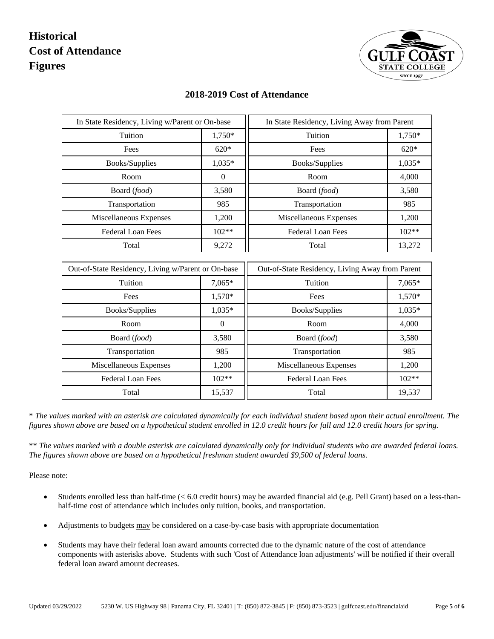

| In State Residency, Living w/Parent or On-base     |              | In State Residency, Living Away from Parent     |          |
|----------------------------------------------------|--------------|-------------------------------------------------|----------|
| Tuition                                            | 1,750*       | Tuition                                         | 1,750*   |
| Fees                                               | $620*$       | Fees                                            | $620*$   |
| Books/Supplies                                     | $1,035*$     | Books/Supplies                                  | $1,035*$ |
| Room                                               | $\mathbf{0}$ | Room                                            | 4,000    |
| Board (food)                                       | 3,580        | Board (food)                                    | 3,580    |
| Transportation                                     | 985          | Transportation                                  | 985      |
| Miscellaneous Expenses                             | 1,200        | Miscellaneous Expenses                          | 1,200    |
| <b>Federal Loan Fees</b>                           | 102**        | <b>Federal Loan Fees</b>                        | 102**    |
| Total                                              | 9,272        | Total                                           | 13,272   |
|                                                    |              |                                                 |          |
| Out-of-State Residency, Living w/Parent or On-base |              | Out-of-State Residency, Living Away from Parent |          |
| Tuition                                            | 7,065*       | Tuition                                         | 7,065*   |
| Fees                                               | 1,570*       | Fees                                            | 1,570*   |
| Books/Supplies                                     | 1,035*       | Books/Supplies                                  | $1,035*$ |
| Room                                               | $\theta$     | Room                                            | 4,000    |
| Board (food)                                       | 3,580        | Board (food)                                    | 3,580    |
| Transportation                                     | 985          | Transportation                                  | 985      |
| Miscellaneous Expenses                             | 1,200        | Miscellaneous Expenses                          | 1,200    |
| <b>Federal Loan Fees</b>                           | 102**        | <b>Federal Loan Fees</b>                        | 102**    |
| Total                                              | 15,537       | Total                                           | 19,537   |
|                                                    |              |                                                 |          |

#### **2018-2019 Cost of Attendance**

\* *The values marked with an asterisk are calculated dynamically for each individual student based upon their actual enrollment. The figures shown above are based on a hypothetical student enrolled in 12.0 credit hours for fall and 12.0 credit hours for spring.*

\*\* *The values marked with a double asterisk are calculated dynamically only for individual students who are awarded federal loans. The figures shown above are based on a hypothetical freshman student awarded \$9,500 of federal loans.*

Please note:

- Students enrolled less than half-time (< 6.0 credit hours) may be awarded financial aid (e.g. Pell Grant) based on a less-thanhalf-time cost of attendance which includes only tuition, books, and transportation.
- Adjustments to budgets may be considered on a case-by-case basis with appropriate documentation
- Students may have their federal loan award amounts corrected due to the dynamic nature of the cost of attendance components with asterisks above. Students with such 'Cost of Attendance loan adjustments' will be notified if their overall federal loan award amount decreases.